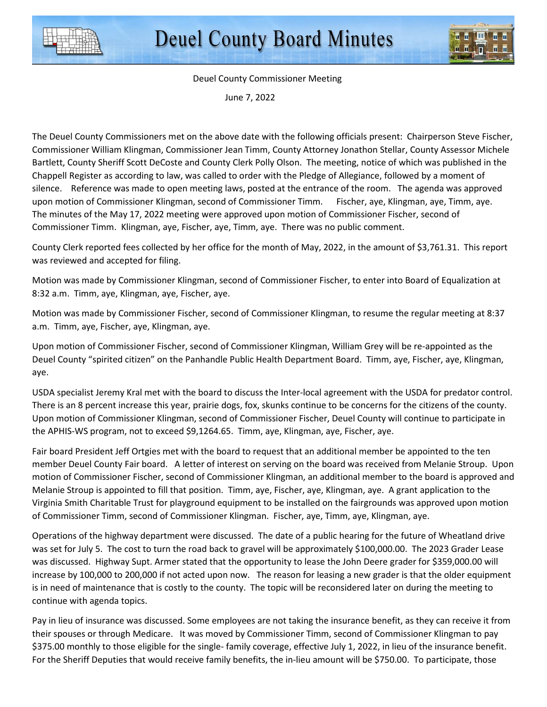

## Deuel County Commissioner Meeting

June 7, 2022

The Deuel County Commissioners met on the above date with the following officials present: Chairperson Steve Fischer, Commissioner William Klingman, Commissioner Jean Timm, County Attorney Jonathon Stellar, County Assessor Michele Bartlett, County Sheriff Scott DeCoste and County Clerk Polly Olson. The meeting, notice of which was published in the Chappell Register as according to law, was called to order with the Pledge of Allegiance, followed by a moment of silence. Reference was made to open meeting laws, posted at the entrance of the room. The agenda was approved upon motion of Commissioner Klingman, second of Commissioner Timm. Fischer, aye, Klingman, aye, Timm, aye. The minutes of the May 17, 2022 meeting were approved upon motion of Commissioner Fischer, second of Commissioner Timm. Klingman, aye, Fischer, aye, Timm, aye. There was no public comment.

County Clerk reported fees collected by her office for the month of May, 2022, in the amount of \$3,761.31. This report was reviewed and accepted for filing.

Motion was made by Commissioner Klingman, second of Commissioner Fischer, to enter into Board of Equalization at 8:32 a.m. Timm, aye, Klingman, aye, Fischer, aye.

Motion was made by Commissioner Fischer, second of Commissioner Klingman, to resume the regular meeting at 8:37 a.m. Timm, aye, Fischer, aye, Klingman, aye.

Upon motion of Commissioner Fischer, second of Commissioner Klingman, William Grey will be re-appointed as the Deuel County "spirited citizen" on the Panhandle Public Health Department Board. Timm, aye, Fischer, aye, Klingman, aye.

USDA specialist Jeremy Kral met with the board to discuss the Inter-local agreement with the USDA for predator control. There is an 8 percent increase this year, prairie dogs, fox, skunks continue to be concerns for the citizens of the county. Upon motion of Commissioner Klingman, second of Commissioner Fischer, Deuel County will continue to participate in the APHIS-WS program, not to exceed \$9,1264.65. Timm, aye, Klingman, aye, Fischer, aye.

Fair board President Jeff Ortgies met with the board to request that an additional member be appointed to the ten member Deuel County Fair board. A letter of interest on serving on the board was received from Melanie Stroup. Upon motion of Commissioner Fischer, second of Commissioner Klingman, an additional member to the board is approved and Melanie Stroup is appointed to fill that position. Timm, aye, Fischer, aye, Klingman, aye. A grant application to the Virginia Smith Charitable Trust for playground equipment to be installed on the fairgrounds was approved upon motion of Commissioner Timm, second of Commissioner Klingman. Fischer, aye, Timm, aye, Klingman, aye.

Operations of the highway department were discussed. The date of a public hearing for the future of Wheatland drive was set for July 5. The cost to turn the road back to gravel will be approximately \$100,000.00. The 2023 Grader Lease was discussed. Highway Supt. Armer stated that the opportunity to lease the John Deere grader for \$359,000.00 will increase by 100,000 to 200,000 if not acted upon now. The reason for leasing a new grader is that the older equipment is in need of maintenance that is costly to the county. The topic will be reconsidered later on during the meeting to continue with agenda topics.

Pay in lieu of insurance was discussed. Some employees are not taking the insurance benefit, as they can receive it from their spouses or through Medicare. It was moved by Commissioner Timm, second of Commissioner Klingman to pay \$375.00 monthly to those eligible for the single- family coverage, effective July 1, 2022, in lieu of the insurance benefit. For the Sheriff Deputies that would receive family benefits, the in-lieu amount will be \$750.00. To participate, those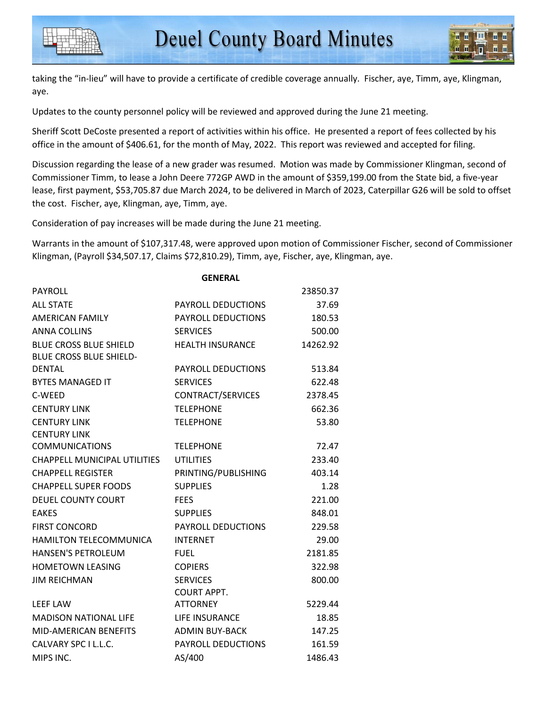taking the "in-lieu" will have to provide a certificate of credible coverage annually. Fischer, aye, Timm, aye, Klingman, aye.

Updates to the county personnel policy will be reviewed and approved during the June 21 meeting.

Sheriff Scott DeCoste presented a report of activities within his office. He presented a report of fees collected by his office in the amount of \$406.61, for the month of May, 2022. This report was reviewed and accepted for filing.

Discussion regarding the lease of a new grader was resumed. Motion was made by Commissioner Klingman, second of Commissioner Timm, to lease a John Deere 772GP AWD in the amount of \$359,199.00 from the State bid, a five-year lease, first payment, \$53,705.87 due March 2024, to be delivered in March of 2023, Caterpillar G26 will be sold to offset the cost. Fischer, aye, Klingman, aye, Timm, aye.

Consideration of pay increases will be made during the June 21 meeting.

Warrants in the amount of \$107,317.48, were approved upon motion of Commissioner Fischer, second of Commissioner Klingman, (Payroll \$34,507.17, Claims \$72,810.29), Timm, aye, Fischer, aye, Klingman, aye.

|                                     | <b>GENERAL</b>            |          |
|-------------------------------------|---------------------------|----------|
| <b>PAYROLL</b>                      |                           | 23850.37 |
| <b>ALL STATE</b>                    | <b>PAYROLL DEDUCTIONS</b> | 37.69    |
| <b>AMERICAN FAMILY</b>              | <b>PAYROLL DEDUCTIONS</b> | 180.53   |
| <b>ANNA COLLINS</b>                 | <b>SERVICES</b>           | 500.00   |
| <b>BLUE CROSS BLUE SHIELD</b>       | <b>HEALTH INSURANCE</b>   | 14262.92 |
| <b>BLUE CROSS BLUE SHIELD-</b>      |                           |          |
| <b>DENTAL</b>                       | <b>PAYROLL DEDUCTIONS</b> | 513.84   |
| <b>BYTES MANAGED IT</b>             | <b>SERVICES</b>           | 622.48   |
| C-WEED                              | CONTRACT/SERVICES         | 2378.45  |
| <b>CENTURY LINK</b>                 | <b>TELEPHONE</b>          | 662.36   |
| <b>CENTURY LINK</b>                 | <b>TELEPHONE</b>          | 53.80    |
| <b>CENTURY LINK</b>                 |                           |          |
| <b>COMMUNICATIONS</b>               | <b>TELEPHONE</b>          | 72.47    |
| <b>CHAPPELL MUNICIPAL UTILITIES</b> | <b>UTILITIES</b>          | 233.40   |
| <b>CHAPPELL REGISTER</b>            | PRINTING/PUBLISHING       | 403.14   |
| <b>CHAPPELL SUPER FOODS</b>         | <b>SUPPLIES</b>           | 1.28     |
| <b>DEUEL COUNTY COURT</b>           | <b>FEES</b>               | 221.00   |
| <b>EAKES</b>                        | <b>SUPPLIES</b>           | 848.01   |
| <b>FIRST CONCORD</b>                | <b>PAYROLL DEDUCTIONS</b> | 229.58   |
| HAMILTON TELECOMMUNICA              | <b>INTERNET</b>           | 29.00    |
| <b>HANSEN'S PETROLEUM</b>           | <b>FUEL</b>               | 2181.85  |
| <b>HOMETOWN LEASING</b>             | <b>COPIERS</b>            | 322.98   |
| <b>JIM REICHMAN</b>                 | <b>SERVICES</b>           | 800.00   |
|                                     | <b>COURT APPT.</b>        |          |
| <b>LEEF LAW</b>                     | <b>ATTORNEY</b>           | 5229.44  |
| <b>MADISON NATIONAL LIFE</b>        | LIFE INSURANCE            | 18.85    |
| <b>MID-AMERICAN BENEFITS</b>        | <b>ADMIN BUY-BACK</b>     | 147.25   |
| CALVARY SPC I L.L.C.                | <b>PAYROLL DEDUCTIONS</b> | 161.59   |
| MIPS INC.                           | AS/400                    | 1486.43  |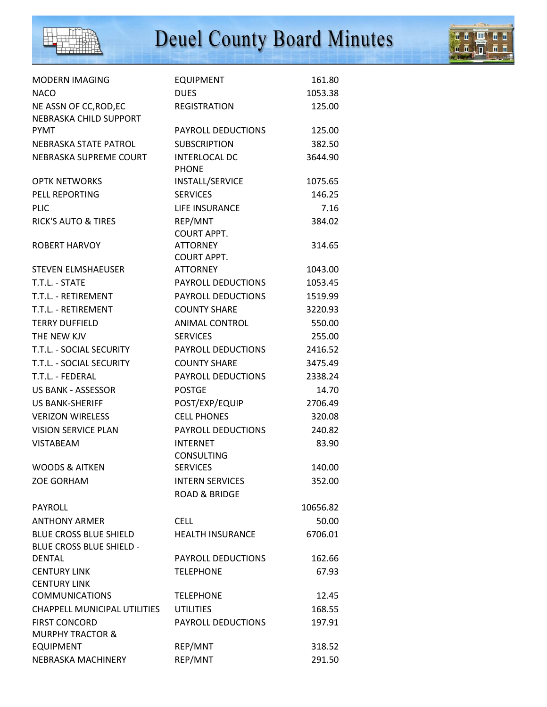

## Deuel County Board Minutes



| <b>MODERN IMAGING</b>           | <b>EQUIPMENT</b>                     | 161.80   |
|---------------------------------|--------------------------------------|----------|
| <b>NACO</b>                     | <b>DUES</b>                          | 1053.38  |
| NE ASSN OF CC, ROD, EC          | <b>REGISTRATION</b>                  | 125.00   |
| NEBRASKA CHILD SUPPORT          |                                      |          |
| <b>PYMT</b>                     | PAYROLL DEDUCTIONS                   | 125.00   |
| NEBRASKA STATE PATROL           | <b>SUBSCRIPTION</b>                  | 382.50   |
| NEBRASKA SUPREME COURT          | <b>INTERLOCAL DC</b><br><b>PHONE</b> | 3644.90  |
| <b>OPTK NETWORKS</b>            | INSTALL/SERVICE                      | 1075.65  |
| PELL REPORTING                  | <b>SERVICES</b>                      | 146.25   |
| <b>PLIC</b>                     | LIFE INSURANCE                       | 7.16     |
| <b>RICK'S AUTO &amp; TIRES</b>  | REP/MNT                              | 384.02   |
|                                 | <b>COURT APPT.</b>                   |          |
| <b>ROBERT HARVOY</b>            | <b>ATTORNEY</b>                      | 314.65   |
|                                 | <b>COURT APPT.</b>                   |          |
| <b>STEVEN ELMSHAEUSER</b>       | <b>ATTORNEY</b>                      | 1043.00  |
| T.T.L. - STATE                  | PAYROLL DEDUCTIONS                   | 1053.45  |
| T.T.L. - RETIREMENT             | PAYROLL DEDUCTIONS                   | 1519.99  |
| T.T.L. - RETIREMENT             | <b>COUNTY SHARE</b>                  | 3220.93  |
| <b>TERRY DUFFIELD</b>           | ANIMAL CONTROL                       | 550.00   |
| THE NEW KJV                     | <b>SERVICES</b>                      | 255.00   |
| T.T.L. - SOCIAL SECURITY        | PAYROLL DEDUCTIONS                   | 2416.52  |
| T.T.L. - SOCIAL SECURITY        | <b>COUNTY SHARE</b>                  | 3475.49  |
| T.T.L. - FEDERAL                | PAYROLL DEDUCTIONS                   | 2338.24  |
| <b>US BANK - ASSESSOR</b>       | <b>POSTGE</b>                        | 14.70    |
| <b>US BANK-SHERIFF</b>          | POST/EXP/EQUIP                       | 2706.49  |
| <b>VERIZON WIRELESS</b>         | <b>CELL PHONES</b>                   | 320.08   |
| <b>VISION SERVICE PLAN</b>      | PAYROLL DEDUCTIONS                   | 240.82   |
| <b>VISTABEAM</b>                | <b>INTERNET</b>                      | 83.90    |
|                                 | CONSULTING                           |          |
| <b>WOODS &amp; AITKEN</b>       | <b>SERVICES</b>                      | 140.00   |
| <b>ZOE GORHAM</b>               | <b>INTERN SERVICES</b>               | 352.00   |
|                                 | <b>ROAD &amp; BRIDGE</b>             |          |
| PAYROLL                         |                                      | 10656.82 |
| <b>ANTHONY ARMER</b>            | <b>CELL</b>                          | 50.00    |
| <b>BLUE CROSS BLUE SHIELD</b>   | <b>HEALTH INSURANCE</b>              | 6706.01  |
| <b>BLUE CROSS BLUE SHIELD -</b> |                                      |          |
| <b>DENTAL</b>                   | PAYROLL DEDUCTIONS                   | 162.66   |
| <b>CENTURY LINK</b>             | <b>TELEPHONE</b>                     | 67.93    |
| <b>CENTURY LINK</b>             |                                      |          |
| <b>COMMUNICATIONS</b>           | <b>TELEPHONE</b>                     | 12.45    |
| CHAPPELL MUNICIPAL UTILITIES    | <b>UTILITIES</b>                     | 168.55   |
| <b>FIRST CONCORD</b>            | PAYROLL DEDUCTIONS                   | 197.91   |
| <b>MURPHY TRACTOR &amp;</b>     |                                      |          |
| <b>EQUIPMENT</b>                | REP/MNT                              | 318.52   |
| NEBRASKA MACHINERY              | REP/MNT                              | 291.50   |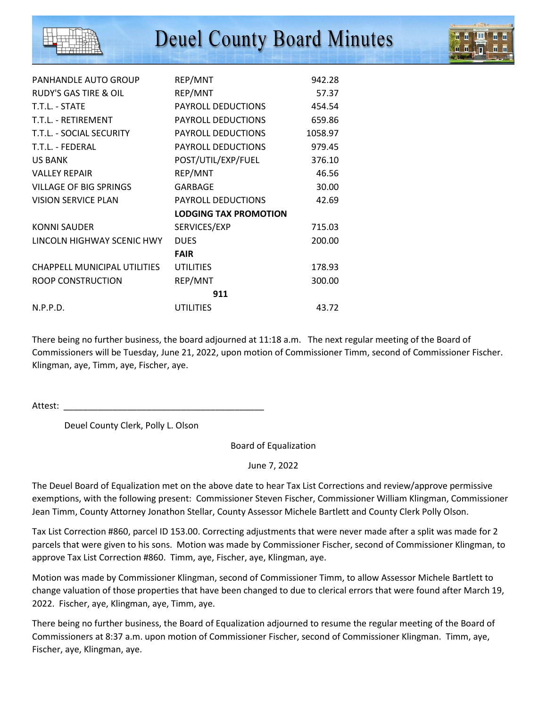## **Deuel County Board Minutes**

| PANHANDLE AUTO GROUP             | REP/MNT                      | 942.28  |
|----------------------------------|------------------------------|---------|
| <b>RUDY'S GAS TIRE &amp; OIL</b> | REP/MNT                      | 57.37   |
| T.T.L. - STATE                   | PAYROLL DEDUCTIONS           | 454.54  |
| T.T.L. - RETIREMENT              | PAYROLL DEDUCTIONS           | 659.86  |
| T.T.L. - SOCIAL SECURITY         | PAYROLL DEDUCTIONS           | 1058.97 |
| T.T.L. - FEDERAL                 | PAYROLL DEDUCTIONS           | 979.45  |
| <b>US BANK</b>                   | POST/UTIL/EXP/FUEL           | 376.10  |
| <b>VALLEY REPAIR</b>             | REP/MNT                      | 46.56   |
| <b>VILLAGE OF BIG SPRINGS</b>    | GARBAGE                      | 30.00   |
| <b>VISION SERVICE PLAN</b>       | PAYROLL DEDUCTIONS           | 42.69   |
|                                  | <b>LODGING TAX PROMOTION</b> |         |
| <b>KONNI SAUDER</b>              | SERVICES/EXP                 | 715.03  |
| LINCOLN HIGHWAY SCENIC HWY       | <b>DUES</b>                  | 200.00  |
|                                  | <b>FAIR</b>                  |         |
| CHAPPELL MUNICIPAL UTILITIES     | <b>UTILITIES</b>             | 178.93  |
| ROOP CONSTRUCTION                | REP/MNT                      | 300.00  |
|                                  | 911                          |         |
| N.P.P.D.                         | <b>UTILITIES</b>             | 43.72   |

There being no further business, the board adjourned at 11:18 a.m. The next regular meeting of the Board of Commissioners will be Tuesday, June 21, 2022, upon motion of Commissioner Timm, second of Commissioner Fischer. Klingman, aye, Timm, aye, Fischer, aye.

Attest:

Deuel County Clerk, Polly L. Olson

Board of Equalization

June 7, 2022

The Deuel Board of Equalization met on the above date to hear Tax List Corrections and review/approve permissive exemptions, with the following present: Commissioner Steven Fischer, Commissioner William Klingman, Commissioner Jean Timm, County Attorney Jonathon Stellar, County Assessor Michele Bartlett and County Clerk Polly Olson.

Tax List Correction #860, parcel ID 153.00. Correcting adjustments that were never made after a split was made for 2 parcels that were given to his sons. Motion was made by Commissioner Fischer, second of Commissioner Klingman, to approve Tax List Correction #860. Timm, aye, Fischer, aye, Klingman, aye.

Motion was made by Commissioner Klingman, second of Commissioner Timm, to allow Assessor Michele Bartlett to change valuation of those properties that have been changed to due to clerical errors that were found after March 19, 2022. Fischer, aye, Klingman, aye, Timm, aye.

There being no further business, the Board of Equalization adjourned to resume the regular meeting of the Board of Commissioners at 8:37 a.m. upon motion of Commissioner Fischer, second of Commissioner Klingman. Timm, aye, Fischer, aye, Klingman, aye.